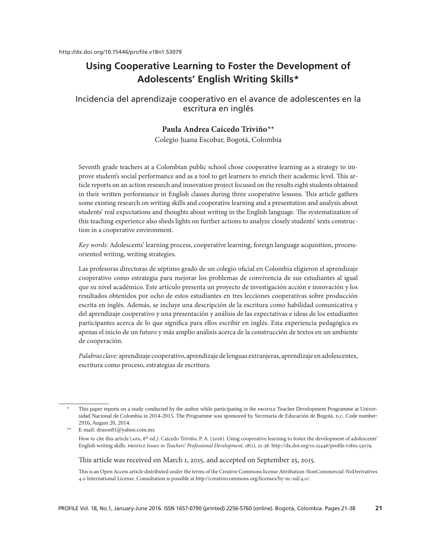# **Using Cooperative Learning to Foster the Development of Adolescents' English Writing Skills1 \***

# Incidencia del aprendizaje cooperativo en el avance de adolescentes en la escritura en inglés

## Paula Andrea Caicedo Triviño<sup>\*\*</sup>

Colegio Juana Escobar, Bogotá, Colombia

Seventh grade teachers at a Colombian public school chose cooperative learning as a strategy to improve student's social performance and as a tool to get learners to enrich their academic level. This article reports on an action research and innovation project focused on the results eight students obtained in their written performance in English classes during three cooperative lessons. This article gathers some existing research on writing skills and cooperative learning and a presentation and analysis about students' real expectations and thoughts about writing in the English language. The systematization of this teaching experience also sheds lights on further actions to analyze closely students' texts construction in a cooperative environment.

*Key words:* Adolescents' learning process, cooperative learning, foreign language acquisition, processoriented writing, writing strategies.

Las profesoras directoras de séptimo grado de un colegio oficial en Colombia eligieron el aprendizaje cooperativo como estrategia para mejorar los problemas de convivencia de sus estudiantes al igual que su nivel académico. Este artículo presenta un proyecto de investigación acción e innovación y los resultados obtenidos por ocho de estos estudiantes en tres lecciones cooperativas sobre producción escrita en inglés. Además, se incluye una descripción de la escritura como habilidad comunicativa y del aprendizaje cooperativo y una presentación y análisis de las expectativas e ideas de los estudiantes participantes acerca de lo que significa para ellos escribir en inglés. Esta experiencia pedagógica es apenas el inicio de un futuro y más amplio análisis acerca de la construcción de textos en un ambiente de cooperación.

*Palabras clave:* aprendizaje cooperativo, aprendizaje de lenguas extranjeras, aprendizaje en adolescentes, escritura como proceso, estrategias de escritura.

This paper reports on a study conducted by the author while participating in the PROFILE Teacher Development Programme at Universidad Nacional de Colombia in 2014-2015. The Programme was sponsored by Secretaría de Educación de Bogotá, D.C. Code number: 2916, August 20, 2014.

<sup>\*\*</sup> E-mail: drusos81@yahoo.com.mx

How to cite this article (APA, 6<sup>th</sup> ed.): Caicedo Triviño, P. A. (2016). Using cooperative learning to foster the development of adolescents' English writing skills. *PROFILE Issues in Teachers' Professional Development, 18*(1), 21-38. http://dx.doi.org/10.15446/profile.v18n1.53079.

This article was received on March 1, 2015, and accepted on September 25, 2015.

This is an Open Access article distributed under the terms of the Creative Commons license Attribution-NonCommercial-NoDerivatives 4.0 International License. Consultation is possible at http://creativecommons.org/licenses/by-nc-nd/4.0/.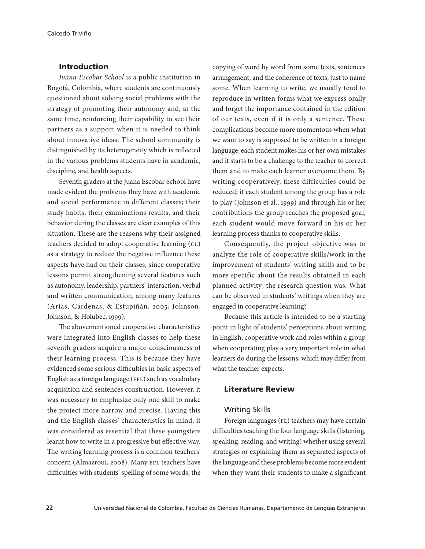### Introduction

*Juana Escobar School* is a public institution in Bogotá, Colombia, where students are continuously questioned about solving social problems with the strategy of promoting their autonomy and, at the same time, reinforcing their capability to see their partners as a support when it is needed to think about innovative ideas. The school community is distinguished by its heterogeneity which is reflected in the various problems students have in academic, discipline, and health aspects.

Seventh graders at the Juana Escobar School have made evident the problems they have with academic and social performance in different classes; their study habits, their examinations results, and their behavior during the classes are clear examples of this situation. These are the reasons why their assigned teachers decided to adopt cooperative learning (CL) as a strategy to reduce the negative influence these aspects have had on their classes, since cooperative lessons permit strengthening several features such as autonomy, leadership, partners' interaction, verbal and written communication, among many features (Arias, Cárdenas, & Estupiñán, 2005; Johnson, Johnson, & Holubec, 1999).

The abovementioned cooperative characteristics were integrated into English classes to help these seventh graders acquire a major consciousness of their learning process. This is because they have evidenced some serious difficulties in basic aspects of English as a foreign language (EFL) such as vocabulary acquisition and sentences construction. However, it was necessary to emphasize only one skill to make the project more narrow and precise. Having this and the English classes' characteristics in mind, it was considered as essential that these youngsters learnt how to write in a progressive but effective way. The writing learning process is a common teachers' concern (Almazroui, 2008). Many EFL teachers have difficulties with students' spelling of some words, the

copying of word by word from some texts, sentences arrangement, and the coherence of texts, just to name some. When learning to write, we usually tend to reproduce in written forms what we express orally and forget the importance contained in the edition of our texts, even if it is only a sentence. These complications become more momentous when what we want to say is supposed to be written in a foreign language; each student makes his or her own mistakes and it starts to be a challenge to the teacher to correct them and to make each learner overcome them. By writing cooperatively, these difficulties could be reduced; if each student among the group has a role to play (Johnson et al., 1999) and through his or her contributions the group reaches the proposed goal, each student would move forward in his or her learning process thanks to cooperative skills.

Consequently, the project objective was to analyze the role of cooperative skills/work in the improvement of students' writing skills and to be more specific about the results obtained in each planned activity; the research question was: What can be observed in students' writings when they are engaged in cooperative learning?

Because this article is intended to be a starting point in light of students' perceptions about writing in English, cooperative work and roles within a group when cooperating play a very important role in what learners do during the lessons, which may differ from what the teacher expects.

### Literature Review

#### Writing Skills

Foreign languages (FL) teachers may have certain difficulties teaching the four language skills (listening, speaking, reading, and writing) whether using several strategies or explaining them as separated aspects of the language and these problems become more evident when they want their students to make a significant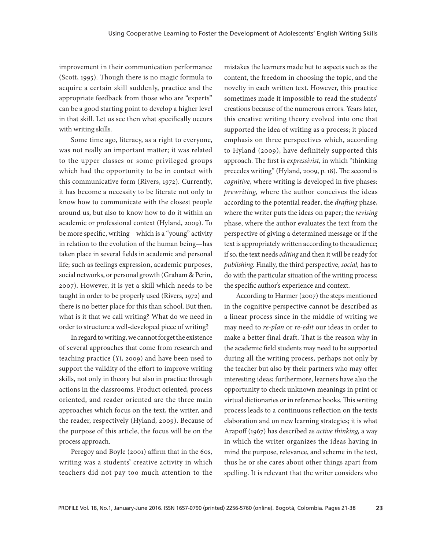improvement in their communication performance (Scott, 1995). Though there is no magic formula to acquire a certain skill suddenly, practice and the appropriate feedback from those who are "experts" can be a good starting point to develop a higher level in that skill. Let us see then what specifically occurs with writing skills.

Some time ago, literacy, as a right to everyone, was not really an important matter; it was related to the upper classes or some privileged groups which had the opportunity to be in contact with this communicative form (Rivers, 1972). Currently, it has become a necessity to be literate not only to know how to communicate with the closest people around us, but also to know how to do it within an academic or professional context (Hyland, 2009). To be more specific, writing—which is a "young" activity in relation to the evolution of the human being—has taken place in several fields in academic and personal life; such as feelings expression, academic purposes, social networks, or personal growth (Graham & Perin, 2007). However, it is yet a skill which needs to be taught in order to be properly used (Rivers, 1972) and there is no better place for this than school. But then, what is it that we call writing? What do we need in order to structure a well-developed piece of writing?

In regard to writing, we cannot forget the existence of several approaches that come from research and teaching practice (Yi, 2009) and have been used to support the validity of the effort to improve writing skills, not only in theory but also in practice through actions in the classrooms. Product oriented, process oriented, and reader oriented are the three main approaches which focus on the text, the writer, and the reader, respectively (Hyland, 2009). Because of the purpose of this article, the focus will be on the process approach.

Peregoy and Boyle (2001) affirm that in the 60s, writing was a students' creative activity in which teachers did not pay too much attention to the

mistakes the learners made but to aspects such as the content, the freedom in choosing the topic, and the novelty in each written text. However, this practice sometimes made it impossible to read the students' creations because of the numerous errors. Years later, this creative writing theory evolved into one that supported the idea of writing as a process; it placed emphasis on three perspectives which, according to Hyland (2009), have definitely supported this approach. The first is *expressivist,* in which "thinking precedes writing" (Hyland, 2009, p. 18). The second is *cognitive,* where writing is developed in five phases: *prewriting,* where the author conceives the ideas according to the potential reader; the *drafting* phase, where the writer puts the ideas on paper; the *revising*  phase, where the author evaluates the text from the perspective of giving a determined message or if the text is appropriately written according to the audience; if so, the text needs *editing* and then it will be ready for *publishing.* Finally, the third perspective, *social,* has to do with the particular situation of the writing process; the specific author's experience and context.

According to Harmer (2007) the steps mentioned in the cognitive perspective cannot be described as a linear process since in the middle of writing we may need to *re-plan* or *re-edit* our ideas in order to make a better final draft. That is the reason why in the academic field students may need to be supported during all the writing process, perhaps not only by the teacher but also by their partners who may offer interesting ideas; furthermore, learners have also the opportunity to check unknown meanings in print or virtual dictionaries or in reference books. This writing process leads to a continuous reflection on the texts elaboration and on new learning strategies; it is what Arapoff (1967) has described as *active thinking,* a way in which the writer organizes the ideas having in mind the purpose, relevance, and scheme in the text, thus he or she cares about other things apart from spelling. It is relevant that the writer considers who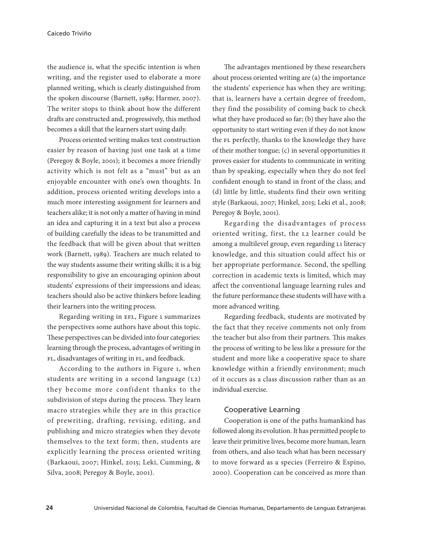the audience is, what the specific intention is when writing, and the register used to elaborate a more planned writing, which is clearly distinguished from the spoken discourse (Barnett, 1989; Harmer, 2007). The writer stops to think about how the different drafts are constructed and, progressively, this method becomes a skill that the learners start using daily.

Process oriented writing makes text construction easier by reason of having just one task at a time (Peregoy & Boyle, 2001); it becomes a more friendly activity which is not felt as a "must" but as an enjoyable encounter with one's own thoughts. In addition, process oriented writing develops into a much more interesting assignment for learners and teachers alike; it is not only a matter of having in mind an idea and capturing it in a text but also a process of building carefully the ideas to be transmitted and the feedback that will be given about that written work (Barnett, 1989). Teachers are much related to the way students assume their writing skills; it is a big responsibility to give an encouraging opinion about students' expressions of their impressions and ideas; teachers should also be active thinkers before leading their learners into the writing process.

Regarding writing in EFL, Figure 1 summarizes the perspectives some authors have about this topic. These perspectives can be divided into four categories: learning through the process, advantages of writing in FL, disadvantages of writing in FL, and feedback.

According to the authors in Figure 1, when students are writing in a second language (L2) they become more confident thanks to the subdivision of steps during the process. They learn macro strategies while they are in this practice of prewriting, drafting, revising, editing, and publishing and micro strategies when they devote themselves to the text form; then, students are explicitly learning the process oriented writing (Barkaoui, 2007; Hinkel, 2015; Leki, Cumming, & Silva, 2008; Peregoy & Boyle, 2001).

The advantages mentioned by these researchers about process oriented writing are (a) the importance the students' experience has when they are writing; that is, learners have a certain degree of freedom, they find the possibility of coming back to check what they have produced so far; (b) they have also the opportunity to start writing even if they do not know the FL perfectly, thanks to the knowledge they have of their mother tongue; (c) in several opportunities it proves easier for students to communicate in writing than by speaking, especially when they do not feel confident enough to stand in front of the class; and (d) little by little, students find their own writing style (Barkaoui, 2007; Hinkel, 2015; Leki et al., 2008; Peregoy & Boyle, 2001).

Regarding the disadvantages of process oriented writing, first, the L2 learner could be among a multilevel group, even regarding L1 literacy knowledge, and this situation could affect his or her appropriate performance. Second, the spelling correction in academic texts is limited, which may affect the conventional language learning rules and the future performance these students will have with a more advanced writing.

Regarding feedback, students are motivated by the fact that they receive comments not only from the teacher but also from their partners. This makes the process of writing to be less like a pressure for the student and more like a cooperative space to share knowledge within a friendly environment; much of it occurs as a class discussion rather than as an individual exercise.

#### Cooperative Learning

Cooperation is one of the paths humankind has followed along its evolution. It has permitted people to leave their primitive lives, become more human, learn from others, and also teach what has been necessary to move forward as a species (Ferreiro & Espino, 2000). Cooperation can be conceived as more than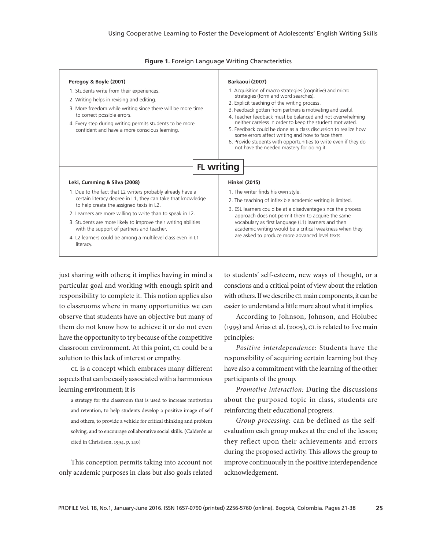| Peregoy & Boyle (2001)<br>1. Students write from their experiences.<br>2. Writing helps in revising and editing.<br>3. More freedom while writing since there will be more time<br>to correct possible errors.<br>4. Every step during writing permits students to be more<br>confident and have a more conscious learning. | Barkaoui (2007)<br>1. Acquisition of macro strategies (cognitive) and micro<br>strategies (form and word searches).<br>2. Explicit teaching of the writing process.<br>3. Feedback gotten from partners is motivating and useful.<br>4. Teacher feedback must be balanced and not overwhelming<br>neither careless in order to keep the student motivated.<br>5. Feedback could be done as a class discussion to realize how<br>some errors affect writing and how to face them.<br>6. Provide students with opportunities to write even if they do<br>not have the needed mastery for doing it. |
|-----------------------------------------------------------------------------------------------------------------------------------------------------------------------------------------------------------------------------------------------------------------------------------------------------------------------------|--------------------------------------------------------------------------------------------------------------------------------------------------------------------------------------------------------------------------------------------------------------------------------------------------------------------------------------------------------------------------------------------------------------------------------------------------------------------------------------------------------------------------------------------------------------------------------------------------|
| Leki, Cumming & Silva (2008)                                                                                                                                                                                                                                                                                                | <b>FL writing</b>                                                                                                                                                                                                                                                                                                                                                                                                                                                                                                                                                                                |
| 1. Due to the fact that L2 writers probably already have a                                                                                                                                                                                                                                                                  | <b>Hinkel (2015)</b>                                                                                                                                                                                                                                                                                                                                                                                                                                                                                                                                                                             |
| certain literacy degree in L1, they can take that knowledge                                                                                                                                                                                                                                                                 | 1. The writer finds his own style.                                                                                                                                                                                                                                                                                                                                                                                                                                                                                                                                                               |
| to help create the assigned texts in L2.                                                                                                                                                                                                                                                                                    | 2. The teaching of inflexible academic writing is limited.                                                                                                                                                                                                                                                                                                                                                                                                                                                                                                                                       |
| 2. Learners are more willing to write than to speak in L2.                                                                                                                                                                                                                                                                  | 3. ESL learners could be at a disadvantage since the process                                                                                                                                                                                                                                                                                                                                                                                                                                                                                                                                     |
| 3. Students are more likely to improve their writing abilities                                                                                                                                                                                                                                                              | approach does not permit them to acquire the same                                                                                                                                                                                                                                                                                                                                                                                                                                                                                                                                                |
| with the support of partners and teacher.                                                                                                                                                                                                                                                                                   | vocabulary as first language (L1) learners and then                                                                                                                                                                                                                                                                                                                                                                                                                                                                                                                                              |
| 4. L2 learners could be among a multilevel class even in L1                                                                                                                                                                                                                                                                 | academic writing would be a critical weakness when they                                                                                                                                                                                                                                                                                                                                                                                                                                                                                                                                          |
| literacy.                                                                                                                                                                                                                                                                                                                   | are asked to produce more advanced level texts.                                                                                                                                                                                                                                                                                                                                                                                                                                                                                                                                                  |

**Figure 1.** Foreign Language Writing Characteristics

just sharing with others; it implies having in mind a particular goal and working with enough spirit and responsibility to complete it. This notion applies also to classrooms where in many opportunities we can observe that students have an objective but many of them do not know how to achieve it or do not even have the opportunity to try because of the competitive classroom environment. At this point, CL could be a solution to this lack of interest or empathy.

CL is a concept which embraces many different aspects that can be easily associated with a harmonious learning environment; it is

a strategy for the classroom that is used to increase motivation and retention, to help students develop a positive image of self and others, to provide a vehicle for critical thinking and problem solving, and to encourage collaborative social skills. (Calderón as cited in Christison, 1994, p. 140)

This conception permits taking into account not only academic purposes in class but also goals related to students' self-esteem, new ways of thought, or a conscious and a critical point of view about the relation with others. If we describe CL main components, it can be easier to understand a little more about what it implies.

According to Johnson, Johnson, and Holubec (1995) and Arias et al. (2005), CL is related to five main principles:

*Positive interdependence:* Students have the responsibility of acquiring certain learning but they have also a commitment with the learning of the other participants of the group.

*Promotive interaction:* During the discussions about the purposed topic in class, students are reinforcing their educational progress.

*Group processing:* can be defined as the selfevaluation each group makes at the end of the lesson; they reflect upon their achievements and errors during the proposed activity. This allows the group to improve continuously in the positive interdependence acknowledgement.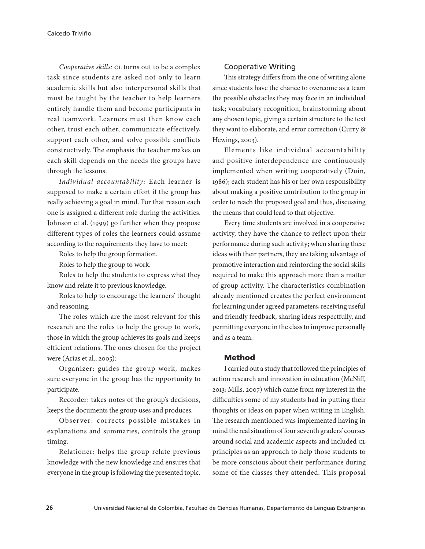*Cooperative skills:* CL turns out to be a complex task since students are asked not only to learn academic skills but also interpersonal skills that must be taught by the teacher to help learners entirely handle them and become participants in real teamwork. Learners must then know each other, trust each other, communicate effectively, support each other, and solve possible conflicts constructively. The emphasis the teacher makes on each skill depends on the needs the groups have through the lessons.

*Individual accountability:* Each learner is supposed to make a certain effort if the group has really achieving a goal in mind. For that reason each one is assigned a different role during the activities. Johnson et al. (1999) go further when they propose different types of roles the learners could assume according to the requirements they have to meet:

Roles to help the group formation.

Roles to help the group to work.

Roles to help the students to express what they know and relate it to previous knowledge.

Roles to help to encourage the learners' thought and reasoning.

The roles which are the most relevant for this research are the roles to help the group to work, those in which the group achieves its goals and keeps efficient relations. The ones chosen for the project were (Arias et al., 2005):

Organizer: guides the group work, makes sure everyone in the group has the opportunity to participate.

Recorder: takes notes of the group's decisions, keeps the documents the group uses and produces.

Observer: corrects possible mistakes in explanations and summaries, controls the group timing.

Relationer: helps the group relate previous knowledge with the new knowledge and ensures that everyone in the group is following the presented topic.

### Cooperative Writing

This strategy differs from the one of writing alone since students have the chance to overcome as a team the possible obstacles they may face in an individual task; vocabulary recognition, brainstorming about any chosen topic, giving a certain structure to the text they want to elaborate, and error correction (Curry & Hewings, 2003).

Elements like individual accountability and positive interdependence are continuously implemented when writing cooperatively (Duin, 1986); each student has his or her own responsibility about making a positive contribution to the group in order to reach the proposed goal and thus, discussing the means that could lead to that objective.

Every time students are involved in a cooperative activity, they have the chance to reflect upon their performance during such activity; when sharing these ideas with their partners, they are taking advantage of promotive interaction and reinforcing the social skills required to make this approach more than a matter of group activity. The characteristics combination already mentioned creates the perfect environment for learning under agreed parameters, receiving useful and friendly feedback, sharing ideas respectfully, and permitting everyone in the class to improve personally and as a team.

#### Method

I carried out a study that followed the principles of action research and innovation in education (McNiff, 2013; Mills, 2007) which came from my interest in the difficulties some of my students had in putting their thoughts or ideas on paper when writing in English. The research mentioned was implemented having in mind the real situation of four seventh graders' courses around social and academic aspects and included CL principles as an approach to help those students to be more conscious about their performance during some of the classes they attended. This proposal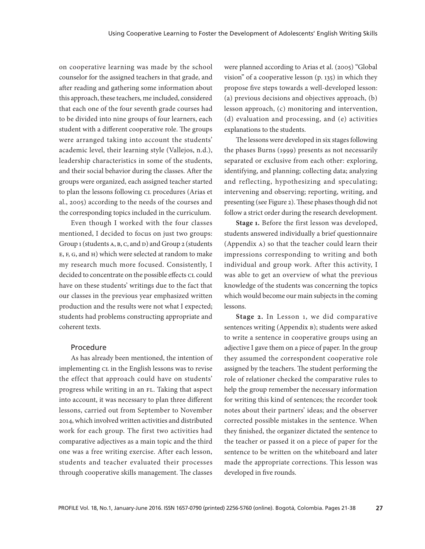on cooperative learning was made by the school counselor for the assigned teachers in that grade, and after reading and gathering some information about this approach, these teachers, me included, considered that each one of the four seventh grade courses had to be divided into nine groups of four learners, each student with a different cooperative role. The groups were arranged taking into account the students' academic level, their learning style (Vallejos, n.d.), leadership characteristics in some of the students, and their social behavior during the classes. After the groups were organized, each assigned teacher started to plan the lessons following CL procedures (Arias et al., 2005) according to the needs of the courses and the corresponding topics included in the curriculum.

Even though I worked with the four classes mentioned, I decided to focus on just two groups: Group 1 (students A, B, C, and D) and Group 2 (students E, F, G, and H) which were selected at random to make my research much more focused. Consistently, I decided to concentrate on the possible effects CL could have on these students' writings due to the fact that our classes in the previous year emphasized written production and the results were not what I expected; students had problems constructing appropriate and coherent texts.

### Procedure

As has already been mentioned, the intention of implementing CL in the English lessons was to revise the effect that approach could have on students' progress while writing in an FL. Taking that aspect into account, it was necessary to plan three different lessons, carried out from September to November 2014, which involved written activities and distributed work for each group. The first two activities had comparative adjectives as a main topic and the third one was a free writing exercise. After each lesson, students and teacher evaluated their processes through cooperative skills management. The classes

were planned according to Arias et al. (2005) "Global vision" of a cooperative lesson (p. 135) in which they propose five steps towards a well-developed lesson: (a) previous decisions and objectives approach, (b) lesson approach, (c) monitoring and intervention, (d) evaluation and processing, and (e) activities explanations to the students.

The lessons were developed in six stages following the phases Burns (1999) presents as not necessarily separated or exclusive from each other: exploring, identifying, and planning; collecting data; analyzing and reflecting, hypothesizing and speculating; intervening and observing; reporting, writing, and presenting (see Figure 2). These phases though did not follow a strict order during the research development.

**Stage 1.** Before the first lesson was developed, students answered individually a brief questionnaire (Appendix A) so that the teacher could learn their impressions corresponding to writing and both individual and group work. After this activity, I was able to get an overview of what the previous knowledge of the students was concerning the topics which would become our main subjects in the coming lessons.

**Stage 2.** In Lesson 1, we did comparative sentences writing (Appendix B); students were asked to write a sentence in cooperative groups using an adjective I gave them on a piece of paper. In the group they assumed the correspondent cooperative role assigned by the teachers. The student performing the role of relationer checked the comparative rules to help the group remember the necessary information for writing this kind of sentences; the recorder took notes about their partners' ideas; and the observer corrected possible mistakes in the sentence. When they finished, the organizer dictated the sentence to the teacher or passed it on a piece of paper for the sentence to be written on the whiteboard and later made the appropriate corrections. This lesson was developed in five rounds.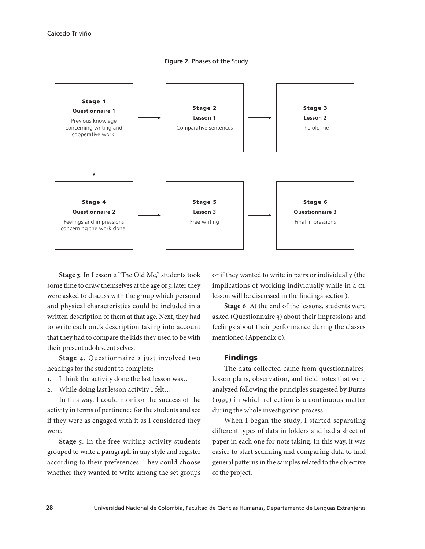



**Stage 3**. In Lesson 2 "The Old Me," students took some time to draw themselves at the age of 5; later they were asked to discuss with the group which personal and physical characteristics could be included in a written description of them at that age. Next, they had to write each one's description taking into account that they had to compare the kids they used to be with their present adolescent selves.

**Stage 4**. Questionnaire 2 just involved two headings for the student to complete:

- 1. I think the activity done the last lesson was…
- 2. While doing last lesson activity I felt…

In this way, I could monitor the success of the activity in terms of pertinence for the students and see if they were as engaged with it as I considered they were.

**Stage 5**. In the free writing activity students grouped to write a paragraph in any style and register according to their preferences. They could choose whether they wanted to write among the set groups or if they wanted to write in pairs or individually (the implications of working individually while in a CL lesson will be discussed in the findings section).

**Stage 6**. At the end of the lessons, students were asked (Questionnaire 3) about their impressions and feelings about their performance during the classes mentioned (Appendix C).

#### Findings

The data collected came from questionnaires, lesson plans, observation, and field notes that were analyzed following the principles suggested by Burns (1999) in which reflection is a continuous matter during the whole investigation process.

When I began the study, I started separating different types of data in folders and had a sheet of paper in each one for note taking. In this way, it was easier to start scanning and comparing data to find general patterns in the samples related to the objective of the project.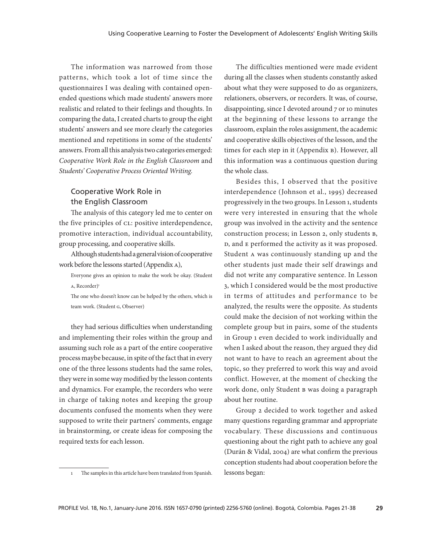The information was narrowed from those patterns, which took a lot of time since the questionnaires I was dealing with contained openended questions which made students' answers more realistic and related to their feelings and thoughts. In comparing the data, I created charts to group the eight students' answers and see more clearly the categories mentioned and repetitions in some of the students' answers. From all this analysis two categories emerged: *Cooperative Work Role in the English Classroom* and *Students' Cooperative Process Oriented Writing.* 

# Cooperative Work Role in the English Classroom

The analysis of this category led me to center on the five principles of CL: positive interdependence, promotive interaction, individual accountability, group processing, and cooperative skills.

Although students had a general vision of cooperative work before the lessons started (Appendix A),

Everyone gives an opinion to make the work be okay. (Student A, Recorder)<sup>1</sup>

The one who doesn't know can be helped by the others, which is team work. (Student G, Observer)

they had serious difficulties when understanding and implementing their roles within the group and assuming such role as a part of the entire cooperative process maybe because, in spite of the fact that in every one of the three lessons students had the same roles, they were in some way modified by the lesson contents and dynamics. For example, the recorders who were in charge of taking notes and keeping the group documents confused the moments when they were supposed to write their partners' comments, engage in brainstorming, or create ideas for composing the required texts for each lesson.

The difficulties mentioned were made evident during all the classes when students constantly asked about what they were supposed to do as organizers, relationers, observers, or recorders. It was, of course, disappointing, since I devoted around 7 or 10 minutes at the beginning of these lessons to arrange the classroom, explain the roles assignment, the academic and cooperative skills objectives of the lesson, and the times for each step in it (Appendix B). However, all this information was a continuous question during the whole class.

Besides this, I observed that the positive interdependence (Johnson et al., 1995) decreased progressively in the two groups. In Lesson 1, students were very interested in ensuring that the whole group was involved in the activity and the sentence construction process; in Lesson 2, only students B, D, and E performed the activity as it was proposed. Student A was continuously standing up and the other students just made their self drawings and did not write any comparative sentence. In Lesson 3, which I considered would be the most productive in terms of attitudes and performance to be analyzed, the results were the opposite. As students could make the decision of not working within the complete group but in pairs, some of the students in Group 1 even decided to work individually and when I asked about the reason, they argued they did not want to have to reach an agreement about the topic, so they preferred to work this way and avoid conflict. However, at the moment of checking the work done, only Student B was doing a paragraph about her routine.

Group 2 decided to work together and asked many questions regarding grammar and appropriate vocabulary. These discussions and continuous questioning about the right path to achieve any goal (Durán & Vidal, 2004) are what confirm the previous conception students had about cooperation before the lessons began:

<sup>1</sup> The samples in this article have been translated from Spanish.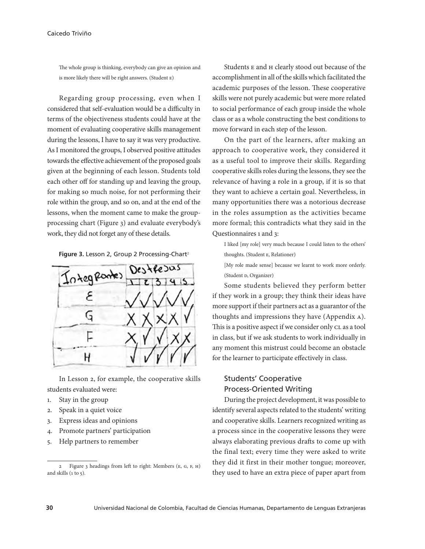#### Caicedo Triviño

The whole group is thinking, everybody can give an opinion and is more likely there will be right answers. (Student E)

Regarding group processing, even when I considered that self-evaluation would be a difficulty in terms of the objectiveness students could have at the moment of evaluating cooperative skills management during the lessons, I have to say it was very productive. As I monitored the groups, I observed positive attitudes towards the effective achievement of the proposed goals given at the beginning of each lesson. Students told each other off for standing up and leaving the group, for making so much noise, for not performing their role within the group, and so on, and at the end of the lessons, when the moment came to make the groupprocessing chart (Figure 3) and evaluate everybody's work, they did not forget any of these details.

Figure 3. Lesson 2, Group 2 Processing-Chart<sup>2</sup>



In Lesson 2, for example, the cooperative skills students evaluated were:

- 1. Stay in the group
- 2. Speak in a quiet voice
- 3. Express ideas and opinions
- 4. Promote partners' participation
- 5. Help partners to remember

Students E and H clearly stood out because of the accomplishment in all of the skills which facilitated the academic purposes of the lesson. These cooperative skills were not purely academic but were more related to social performance of each group inside the whole class or as a whole constructing the best conditions to move forward in each step of the lesson.

On the part of the learners, after making an approach to cooperative work, they considered it as a useful tool to improve their skills. Regarding cooperative skills roles during the lessons, they see the relevance of having a role in a group, if it is so that they want to achieve a certain goal. Nevertheless, in many opportunities there was a notorious decrease in the roles assumption as the activities became more formal; this contradicts what they said in the Questionnaires 1 and 3:

I liked [my role] very much because I could listen to the others' thoughts. (Student E, Relationer)

[My role made sense] because we learnt to work more orderly. (Student D, Organizer)

Some students believed they perform better if they work in a group; they think their ideas have more support if their partners act as a guarantor of the thoughts and impressions they have (Appendix A). This is a positive aspect if we consider only CL as a tool in class, but if we ask students to work individually in any moment this mistrust could become an obstacle for the learner to participate effectively in class.

# Students' Cooperative Process-Oriented Writing

During the project development, it was possible to identify several aspects related to the students' writing and cooperative skills. Learners recognized writing as a process since in the cooperative lessons they were always elaborating previous drafts to come up with the final text; every time they were asked to write they did it first in their mother tongue; moreover, they used to have an extra piece of paper apart from

<sup>2</sup> Figure 3 headings from left to right: Members (E, G, F, H) and skills  $(1 to 5)$ .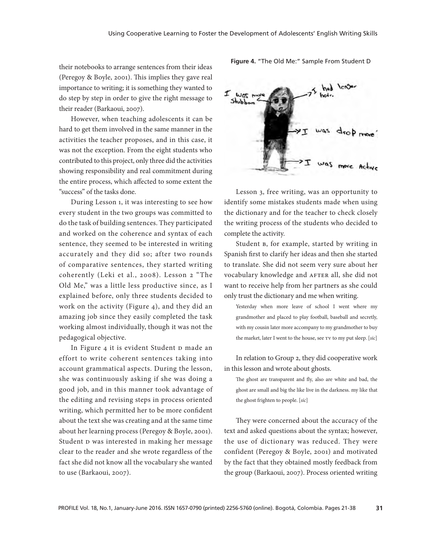their notebooks to arrange sentences from their ideas (Peregoy & Boyle, 2001). This implies they gave real importance to writing; it is something they wanted to do step by step in order to give the right message to their reader (Barkaoui, 2007).

However, when teaching adolescents it can be hard to get them involved in the same manner in the activities the teacher proposes, and in this case, it was not the exception. From the eight students who contributed to this project, only three did the activities showing responsibility and real commitment during the entire process, which affected to some extent the "success" of the tasks done.

During Lesson 1, it was interesting to see how every student in the two groups was committed to do the task of building sentences. They participated and worked on the coherence and syntax of each sentence, they seemed to be interested in writing accurately and they did so; after two rounds of comparative sentences, they started writing coherently (Leki et al., 2008). Lesson 2 "The Old Me," was a little less productive since, as I explained before, only three students decided to work on the activity (Figure 4), and they did an amazing job since they easily completed the task working almost individually, though it was not the pedagogical objective.

In Figure 4 it is evident Student D made an effort to write coherent sentences taking into account grammatical aspects. During the lesson, she was continuously asking if she was doing a good job, and in this manner took advantage of the editing and revising steps in process oriented writing, which permitted her to be more confident about the text she was creating and at the same time about her learning process (Peregoy & Boyle, 2001). Student D was interested in making her message clear to the reader and she wrote regardless of the fact she did not know all the vocabulary she wanted to use (Barkaoui, 2007).



**Figure 4.** "The Old Me:" Sample From Student D

Lesson 3, free writing, was an opportunity to identify some mistakes students made when using the dictionary and for the teacher to check closely the writing process of the students who decided to complete the activity.

Student B, for example, started by writing in Spanish first to clarify her ideas and then she started to translate. She did not seem very sure about her vocabulary knowledge and AFTER all, she did not want to receive help from her partners as she could only trust the dictionary and me when writing.

Yesterday when more leave of school I went where my grandmother and placed to play football, baseball and secretly, with my cousin later more accompany to my grandmother to buy the market, later I went to the house, see TV to my put sleep. [*sic*]

In relation to Group 2, they did cooperative work in this lesson and wrote about ghosts.

The ghost are transparent and fly, also are white and bad, the ghost are small and big the like live in the darkness. my like that the ghost frighten to people. [*sic*]

They were concerned about the accuracy of the text and asked questions about the syntax; however, the use of dictionary was reduced. They were confident (Peregoy & Boyle, 2001) and motivated by the fact that they obtained mostly feedback from the group (Barkaoui, 2007). Process oriented writing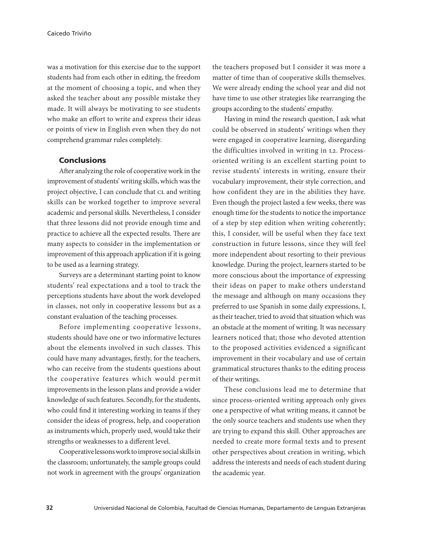was a motivation for this exercise due to the support students had from each other in editing, the freedom at the moment of choosing a topic, and when they asked the teacher about any possible mistake they made. It will always be motivating to see students who make an effort to write and express their ideas or points of view in English even when they do not comprehend grammar rules completely.

### **Conclusions**

After analyzing the role of cooperative work in the improvement of students' writing skills, which was the project objective, I can conclude that CL and writing skills can be worked together to improve several academic and personal skills. Nevertheless, I consider that three lessons did not provide enough time and practice to achieve all the expected results. There are many aspects to consider in the implementation or improvement of this approach application if it is going to be used as a learning strategy.

Surveys are a determinant starting point to know students' real expectations and a tool to track the perceptions students have about the work developed in classes, not only in cooperative lessons but as a constant evaluation of the teaching processes.

Before implementing cooperative lessons, students should have one or two informative lectures about the elements involved in such classes. This could have many advantages, firstly, for the teachers, who can receive from the students questions about the cooperative features which would permit improvements in the lesson plans and provide a wider knowledge of such features. Secondly, for the students, who could find it interesting working in teams if they consider the ideas of progress, help, and cooperation as instruments which, properly used, would take their strengths or weaknesses to a different level.

Cooperative lessons work to improve social skills in the classroom; unfortunately, the sample groups could not work in agreement with the groups' organization

the teachers proposed but I consider it was more a matter of time than of cooperative skills themselves. We were already ending the school year and did not have time to use other strategies like rearranging the groups according to the students' empathy.

Having in mind the research question, I ask what could be observed in students' writings when they were engaged in cooperative learning, disregarding the difficulties involved in writing in L2. Processoriented writing is an excellent starting point to revise students' interests in writing, ensure their vocabulary improvement, their style correction, and how confident they are in the abilities they have. Even though the project lasted a few weeks, there was enough time for the students to notice the importance of a step by step edition when writing coherently; this, I consider, will be useful when they face text construction in future lessons, since they will feel more independent about resorting to their previous knowledge. During the project, learners started to be more conscious about the importance of expressing their ideas on paper to make others understand the message and although on many occasions they preferred to use Spanish in some daily expressions, I, as their teacher, tried to avoid that situation which was an obstacle at the moment of writing. It was necessary learners noticed that; those who devoted attention to the proposed activities evidenced a significant improvement in their vocabulary and use of certain grammatical structures thanks to the editing process of their writings.

These conclusions lead me to determine that since process-oriented writing approach only gives one a perspective of what writing means, it cannot be the only source teachers and students use when they are trying to expand this skill. Other approaches are needed to create more formal texts and to present other perspectives about creation in writing, which address the interests and needs of each student during the academic year.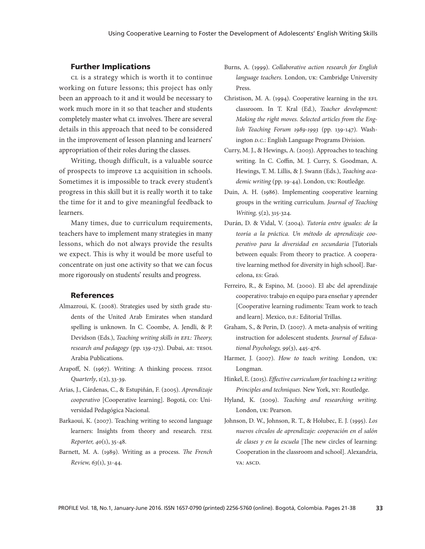#### Further Implications

CL is a strategy which is worth it to continue working on future lessons; this project has only been an approach to it and it would be necessary to work much more in it so that teacher and students completely master what CL involves. There are several details in this approach that need to be considered in the improvement of lesson planning and learners' appropriation of their roles during the classes.

Writing, though difficult, is a valuable source of prospects to improve L2 acquisition in schools. Sometimes it is impossible to track every student's progress in this skill but it is really worth it to take the time for it and to give meaningful feedback to learners.

Many times, due to curriculum requirements, teachers have to implement many strategies in many lessons, which do not always provide the results we expect. This is why it would be more useful to concentrate on just one activity so that we can focus more rigorously on students' results and progress.

#### References

- Almazroui, K. (2008). Strategies used by sixth grade students of the United Arab Emirates when standard spelling is unknown. In C. Coombe, A. Jendli, & P. Devidson (Eds.), *Teaching writing skills in EFL: Theory, research and pedagogy* (pp. 139-173). Dubai, AE: TESOL Arabia Publications.
- Arapoff, N. (1967). Writing: A thinking process. *TESOL Quarterly*, 1(2), 33-39.
- Arias, J., Cárdenas, C., & Estupiñán, F. (2005). *Aprendizaje cooperativo* [Cooperative learning]. Bogotá, CO: Universidad Pedagógica Nacional.
- Barkaoui, K. (2007). Teaching writing to second language learners: Insights from theory and research. *TESL Reporter, 40*(1), 35-48.
- Barnett, M. A. (1989). Writing as a process. *The French Review, 63*(1), 31-44.
- Burns, A. (1999). *Collaborative action research for English language teachers.* London, UK: Cambridge University Press.
- Christison, M. A. (1994). Cooperative learning in the EFL classroom. In T. Kral (Ed.), *Teacher development: Making the right moves. Selected articles from the English Teaching Forum 1989-1993* (pp. 139-147). Washington *D.C.*: English Language Programs Division.
- Curry, M. J., & Hewings, A. (2003). Approaches to teaching writing. In C. Coffin, M. J. Curry, S. Goodman, A. Hewings, T. M. Lillis, & J. Swann (Eds.), *Teaching academic writing* (pp. 19-44). London, UK: Routledge.
- Duin, A. H. (1986). Implementing cooperative learning groups in the writing curriculum. *Journal of Teaching Writing,* 5(2), 315-324.
- Durán, D. & Vidal, V. (2004). *Tutoría entre iguales: de la teoría a la práctica. Un método de aprendizaje cooperativo para la diversidad en secundaria* [Tutorials between equals: From theory to practice. A cooperative learning method for diversity in high school]. Barcelona, ES: Graó.
- Ferreiro, R., & Espino, M. (2000). El abc del aprendizaje cooperativo: trabajo en equipo para enseñar y aprender [Cooperative learning rudiments: Team work to teach and learn]. Mexico, D.F.: Editorial Trillas.
- Graham, S., & Perin, D. (2007). A meta-analysis of writing instruction for adolescent students. *Journal of Educational Psychology, 99*(3), 445-476.
- Harmer, J. (2007). *How to teach writing.* London, UK: Longman.
- Hinkel, E. (2015). *Effective curriculum for teaching L2 writing: Principles and techniques.* New York, NY: Routledge.
- Hyland, K. (2009). *Teaching and researching writing.*  London, UK: Pearson.
- Johnson, D. W., Johnson, R. T., & Holubec, E. J. (1995). *Los nuevos círculos de aprendizaje: cooperación en el salón de clases y en la escuela* [The new circles of learning: Cooperation in the classroom and school]. Alexandria, VA: ASCD.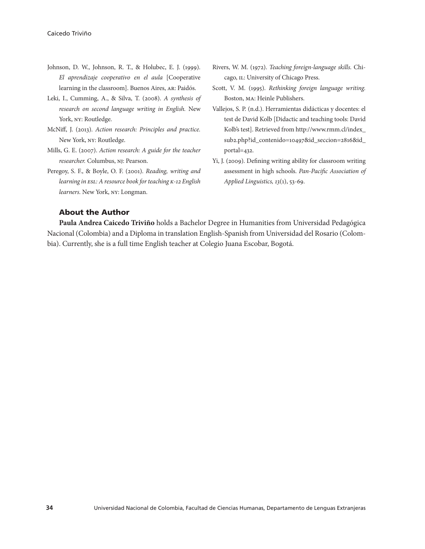- Johnson, D. W., Johnson, R. T., & Holubec, E. J. (1999). *El aprendizaje cooperativo en el aula* [Cooperative learning in the classroom]. Buenos Aires, AR: Paidós.
- Leki, I., Cumming, A., & Silva, T. (2008). *A synthesis of research on second language writing in English.* New York, NY: Routledge.
- McNiff, J. (2013). *Action research: Principles and practice.*  New York, NY: Routledge.
- Mills, G. E. (2007). *Action research: A guide for the teacher researcher.* Columbus, NJ: Pearson.
- Peregoy, S. F., & Boyle, O. F. (2001). *Reading, writing and learning in ESL: A resource book for teaching K-12 English learners.* New York, NY: Longman.
- Rivers, W. M. (1972). *Teaching foreign-language skills.* Chicago, IL: University of Chicago Press.
- Scott, V. M. (1995). *Rethinking foreign language writing.*  Boston, MA: Heinle Publishers.
- Vallejos, S. P. (n.d.). Herramientas didácticas y docentes: el test de David Kolb [Didactic and teaching tools: David Kolb's test]. Retrieved from http://www.rmm.cl/index\_ sub2.php?id\_contenido=10497&id\_seccion=2816&id\_ portal=432.
- Yi, J. (2009). Defining writing ability for classroom writing assessment in high schools. *Pan-Pacific Association of Applied Linguistics, 13*(1), 53-69.

### About the Author

**Paula Andrea Caicedo Triviño** holds a Bachelor Degree in Humanities from Universidad Pedagógica Nacional (Colombia) and a Diploma in translation English-Spanish from Universidad del Rosario (Colombia). Currently, she is a full time English teacher at Colegio Juana Escobar, Bogotá.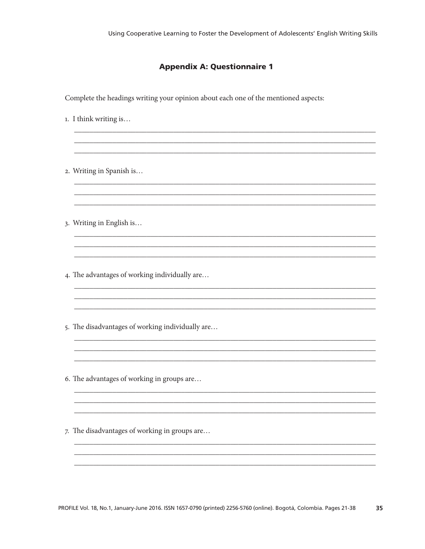# **Appendix A: Questionnaire 1**

Complete the headings writing your opinion about each one of the mentioned aspects:

- 1. I think writing is...
- 2. Writing in Spanish is...
- 3. Writing in English is...
- 4. The advantages of working individually are...
- 5. The disadvantages of working individually are...
- 6. The advantages of working in groups are...
- 7. The disadvantages of working in groups are...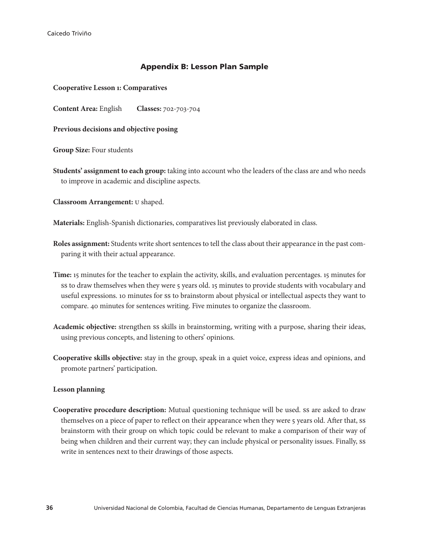# Appendix B: Lesson Plan Sample

**Cooperative Lesson 1: Comparatives**

**Content Area:** English **Classes:** 702-703-704

**Previous decisions and objective posing**

**Group Size:** Four students

**Students' assignment to each group:** taking into account who the leaders of the class are and who needs to improve in academic and discipline aspects.

**Classroom Arrangement:** U shaped.

**Materials:** English-Spanish dictionaries, comparatives list previously elaborated in class.

**Roles assignment:** Students write short sentences to tell the class about their appearance in the past comparing it with their actual appearance.

**Time:** 15 minutes for the teacher to explain the activity, skills, and evaluation percentages. 15 minutes for ss to draw themselves when they were 5 years old. 15 minutes to provide students with vocabulary and useful expressions. 10 minutes for SS to brainstorm about physical or intellectual aspects they want to compare. 40 minutes for sentences writing. Five minutes to organize the classroom.

**Academic objective:** strengthen SS skills in brainstorming, writing with a purpose, sharing their ideas, using previous concepts, and listening to others' opinions.

**Cooperative skills objective:** stay in the group, speak in a quiet voice, express ideas and opinions, and promote partners' participation.

#### **Lesson planning**

**Cooperative procedure description:** Mutual questioning technique will be used. SS are asked to draw themselves on a piece of paper to reflect on their appearance when they were 5 years old. After that, SS brainstorm with their group on which topic could be relevant to make a comparison of their way of being when children and their current way; they can include physical or personality issues. Finally, SS write in sentences next to their drawings of those aspects.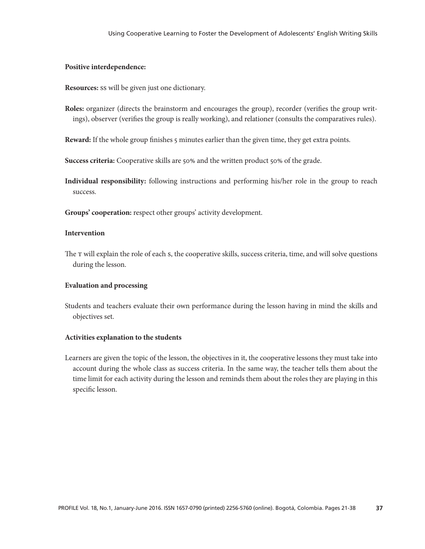### **Positive interdependence:**

**Resources:** SS will be given just one dictionary.

**Roles:** organizer (directs the brainstorm and encourages the group), recorder (verifies the group writings), observer (verifies the group is really working), and relationer (consults the comparatives rules).

**Reward:** If the whole group finishes 5 minutes earlier than the given time, they get extra points.

Success criteria: Cooperative skills are 50% and the written product 50% of the grade.

**Individual responsibility:** following instructions and performing his/her role in the group to reach success.

**Groups' cooperation:** respect other groups' activity development.

### **Intervention**

The T will explain the role of each S, the cooperative skills, success criteria, time, and will solve questions during the lesson.

#### **Evaluation and processing**

Students and teachers evaluate their own performance during the lesson having in mind the skills and objectives set.

#### **Activities explanation to the students**

Learners are given the topic of the lesson, the objectives in it, the cooperative lessons they must take into account during the whole class as success criteria. In the same way, the teacher tells them about the time limit for each activity during the lesson and reminds them about the roles they are playing in this specific lesson.